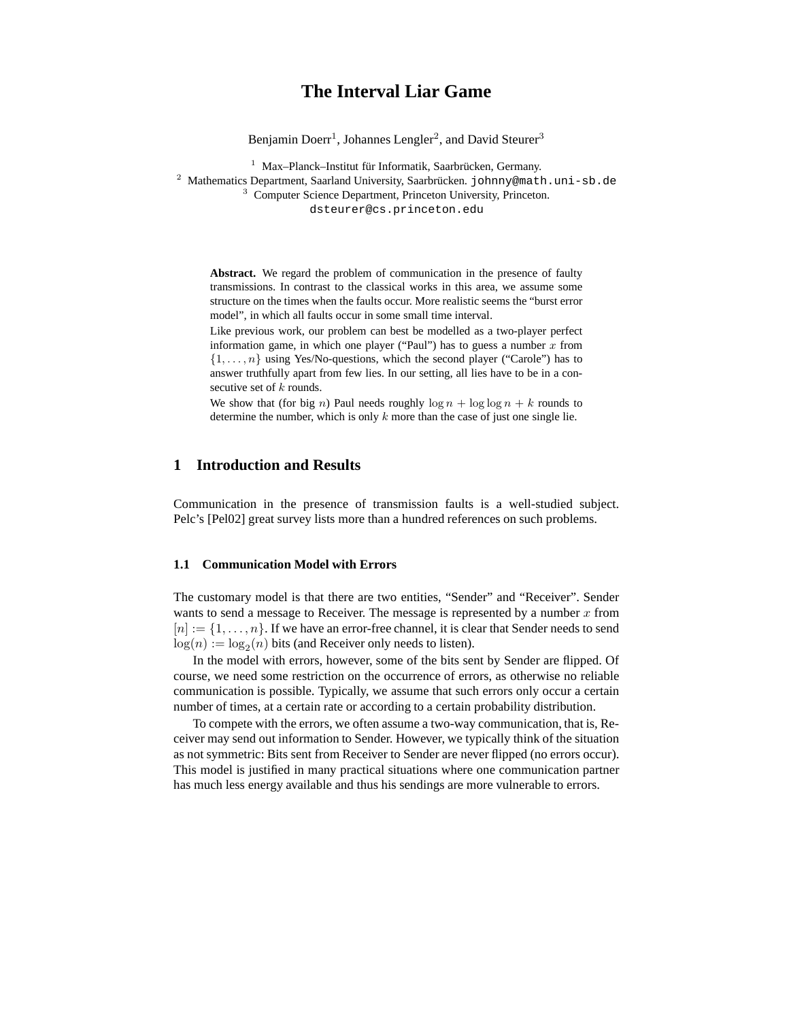# **The Interval Liar Game**

Benjamin Doerr<sup>1</sup>, Johannes Lengler<sup>2</sup>, and David Steurer<sup>3</sup>

 $1$  Max–Planck–Institut für Informatik, Saarbrücken, Germany. <sup>2</sup> Mathematics Department, Saarland University, Saarbrücken. johnny@math.uni-sb.de <sup>3</sup> Computer Science Department, Princeton University, Princeton. dsteurer@cs.princeton.edu

**Abstract.** We regard the problem of communication in the presence of faulty transmissions. In contrast to the classical works in this area, we assume some structure on the times when the faults occur. More realistic seems the "burst error model", in which all faults occur in some small time interval.

Like previous work, our problem can best be modelled as a two-player perfect information game, in which one player ("Paul") has to guess a number  $x$  from  $\{1, \ldots, n\}$  using Yes/No-questions, which the second player ("Carole") has to answer truthfully apart from few lies. In our setting, all lies have to be in a consecutive set of  $k$  rounds.

We show that (for big n) Paul needs roughly  $\log n + \log \log n + k$  rounds to determine the number, which is only  $k$  more than the case of just one single lie.

# **1 Introduction and Results**

Communication in the presence of transmission faults is a well-studied subject. Pelc's [Pel02] great survey lists more than a hundred references on such problems.

### **1.1 Communication Model with Errors**

The customary model is that there are two entities, "Sender" and "Receiver". Sender wants to send a message to Receiver. The message is represented by a number  $x$  from  $[n] := \{1, \ldots, n\}$ . If we have an error-free channel, it is clear that Sender needs to send  $log(n) := log_2(n)$  bits (and Receiver only needs to listen).

In the model with errors, however, some of the bits sent by Sender are flipped. Of course, we need some restriction on the occurrence of errors, as otherwise no reliable communication is possible. Typically, we assume that such errors only occur a certain number of times, at a certain rate or according to a certain probability distribution.

To compete with the errors, we often assume a two-way communication, that is, Receiver may send out information to Sender. However, we typically think of the situation as not symmetric: Bits sent from Receiver to Sender are never flipped (no errors occur). This model is justified in many practical situations where one communication partner has much less energy available and thus his sendings are more vulnerable to errors.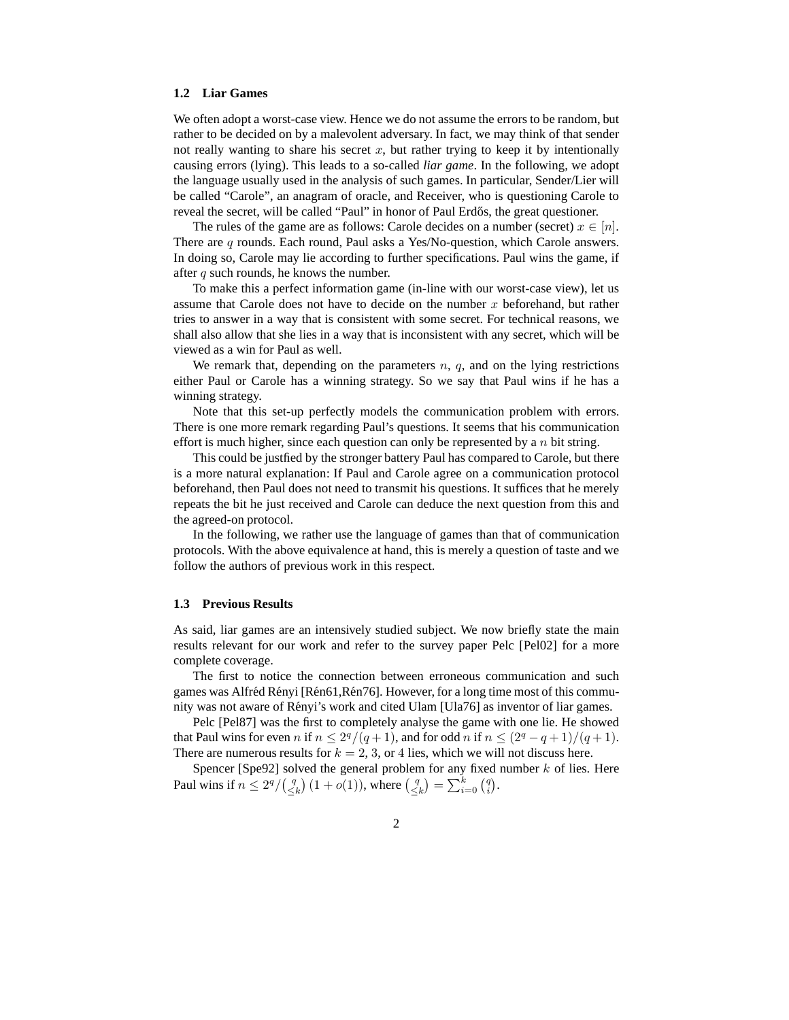### **1.2 Liar Games**

We often adopt a worst-case view. Hence we do not assume the errors to be random, but rather to be decided on by a malevolent adversary. In fact, we may think of that sender not really wanting to share his secret  $x$ , but rather trying to keep it by intentionally causing errors (lying). This leads to a so-called *liar game*. In the following, we adopt the language usually used in the analysis of such games. In particular, Sender/Lier will be called "Carole", an anagram of oracle, and Receiver, who is questioning Carole to reveal the secret, will be called "Paul" in honor of Paul Erdős, the great questioner.

The rules of the game are as follows: Carole decides on a number (secret)  $x \in [n]$ . There are q rounds. Each round, Paul asks a Yes/No-question, which Carole answers. In doing so, Carole may lie according to further specifications. Paul wins the game, if after  $q$  such rounds, he knows the number.

To make this a perfect information game (in-line with our worst-case view), let us assume that Carole does not have to decide on the number  $x$  beforehand, but rather tries to answer in a way that is consistent with some secret. For technical reasons, we shall also allow that she lies in a way that is inconsistent with any secret, which will be viewed as a win for Paul as well.

We remark that, depending on the parameters  $n, q$ , and on the lying restrictions either Paul or Carole has a winning strategy. So we say that Paul wins if he has a winning strategy.

Note that this set-up perfectly models the communication problem with errors. There is one more remark regarding Paul's questions. It seems that his communication effort is much higher, since each question can only be represented by a  $n$  bit string.

This could be justfied by the stronger battery Paul has compared to Carole, but there is a more natural explanation: If Paul and Carole agree on a communication protocol beforehand, then Paul does not need to transmit his questions. It suffices that he merely repeats the bit he just received and Carole can deduce the next question from this and the agreed-on protocol.

In the following, we rather use the language of games than that of communication protocols. With the above equivalence at hand, this is merely a question of taste and we follow the authors of previous work in this respect.

#### **1.3 Previous Results**

As said, liar games are an intensively studied subject. We now briefly state the main results relevant for our work and refer to the survey paper Pelc [Pel02] for a more complete coverage.

The first to notice the connection between erroneous communication and such games was Alfréd Rényi [Rén61,Rén76]. However, for a long time most of this community was not aware of Rényi's work and cited Ulam [Ula76] as inventor of liar games.

Pelc [Pel87] was the first to completely analyse the game with one lie. He showed that Paul wins for even *n* if  $n \leq 2^q/(q+1)$ , and for odd *n* if  $n \leq (2^q - q + 1)/(q+1)$ . There are numerous results for  $k = 2, 3$ , or 4 lies, which we will not discuss here.

Spencer [Spe92] solved the general problem for any fixed number  $k$  of lies. Here Paul wins if  $n \leq 2^q / \left(\frac{q}{\leq k}\right)(1 + o(1))$ , where  $\left(\frac{q}{\leq k}\right) = \sum_{i=0}^k \binom{q}{i}$ .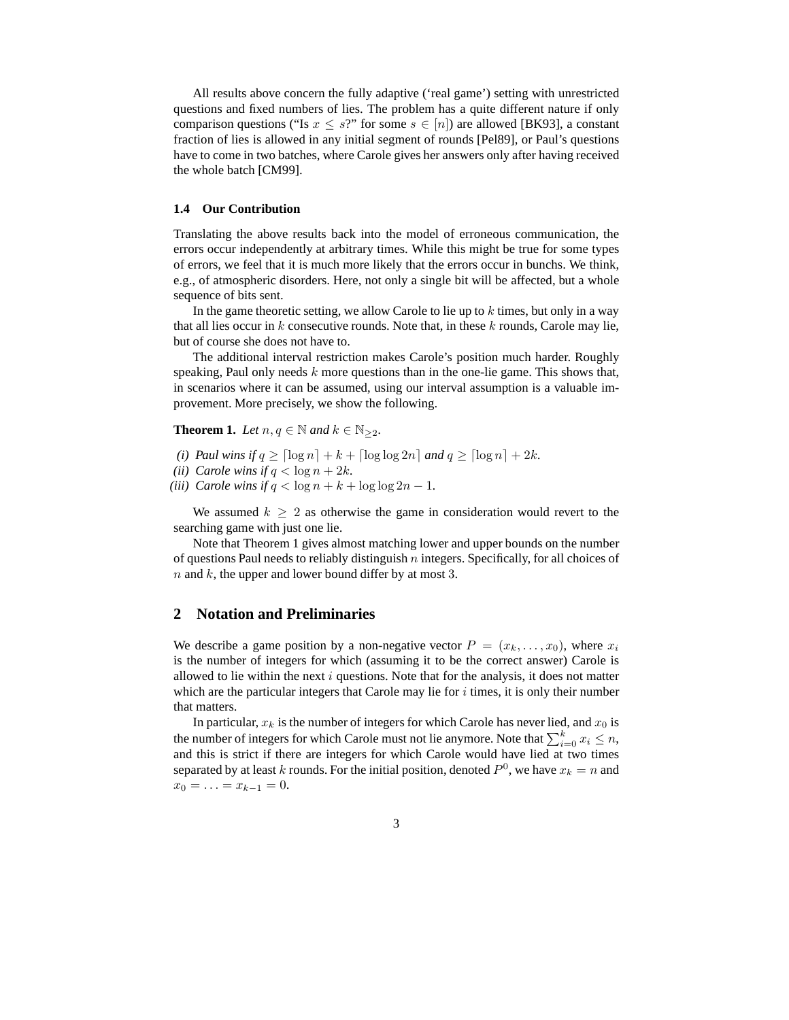All results above concern the fully adaptive ('real game') setting with unrestricted questions and fixed numbers of lies. The problem has a quite different nature if only comparison questions ("Is  $x \leq s$ ?" for some  $s \in [n]$ ) are allowed [BK93], a constant fraction of lies is allowed in any initial segment of rounds [Pel89], or Paul's questions have to come in two batches, where Carole gives her answers only after having received the whole batch [CM99].

### **1.4 Our Contribution**

Translating the above results back into the model of erroneous communication, the errors occur independently at arbitrary times. While this might be true for some types of errors, we feel that it is much more likely that the errors occur in bunchs. We think, e.g., of atmospheric disorders. Here, not only a single bit will be affected, but a whole sequence of bits sent.

In the game theoretic setting, we allow Carole to lie up to  $k$  times, but only in a way that all lies occur in  $k$  consecutive rounds. Note that, in these  $k$  rounds, Carole may lie, but of course she does not have to.

The additional interval restriction makes Carole's position much harder. Roughly speaking, Paul only needs  $k$  more questions than in the one-lie game. This shows that, in scenarios where it can be assumed, using our interval assumption is a valuable improvement. More precisely, we show the following.

**Theorem 1.** *Let*  $n, q \in \mathbb{N}$  *and*  $k \in \mathbb{N}_{\geq 2}$ *.* 

- *(i) Paul wins if*  $q \geq \lceil \log n \rceil + k + \lceil \log \log 2n \rceil$  *and*  $q \geq \lceil \log n \rceil + 2k$ .
- *(ii) Carole wins if*  $q < \log n + 2k$ *.*
- (*iii*) *Carole wins if*  $q < \log n + k + \log \log 2n 1$ *.*

We assumed  $k \geq 2$  as otherwise the game in consideration would revert to the searching game with just one lie.

Note that Theorem 1 gives almost matching lower and upper bounds on the number of questions Paul needs to reliably distinguish  $n$  integers. Specifically, for all choices of  $n$  and  $k$ , the upper and lower bound differ by at most 3.

### **2 Notation and Preliminaries**

We describe a game position by a non-negative vector  $P = (x_k, \ldots, x_0)$ , where  $x_i$ is the number of integers for which (assuming it to be the correct answer) Carole is allowed to lie within the next  $i$  questions. Note that for the analysis, it does not matter which are the particular integers that Carole may lie for  $i$  times, it is only their number that matters.

In particular,  $x_k$  is the number of integers for which Carole has never lied, and  $x_0$  is the number of integers for which Carole must not lie anymore. Note that  $\sum_{i=0}^{k} x_i \leq n$ , and this is strict if there are integers for which Carole would have lied at two times separated by at least k rounds. For the initial position, denoted  $P^0$ , we have  $x_k = n$  and  $x_0 = \ldots = x_{k-1} = 0.$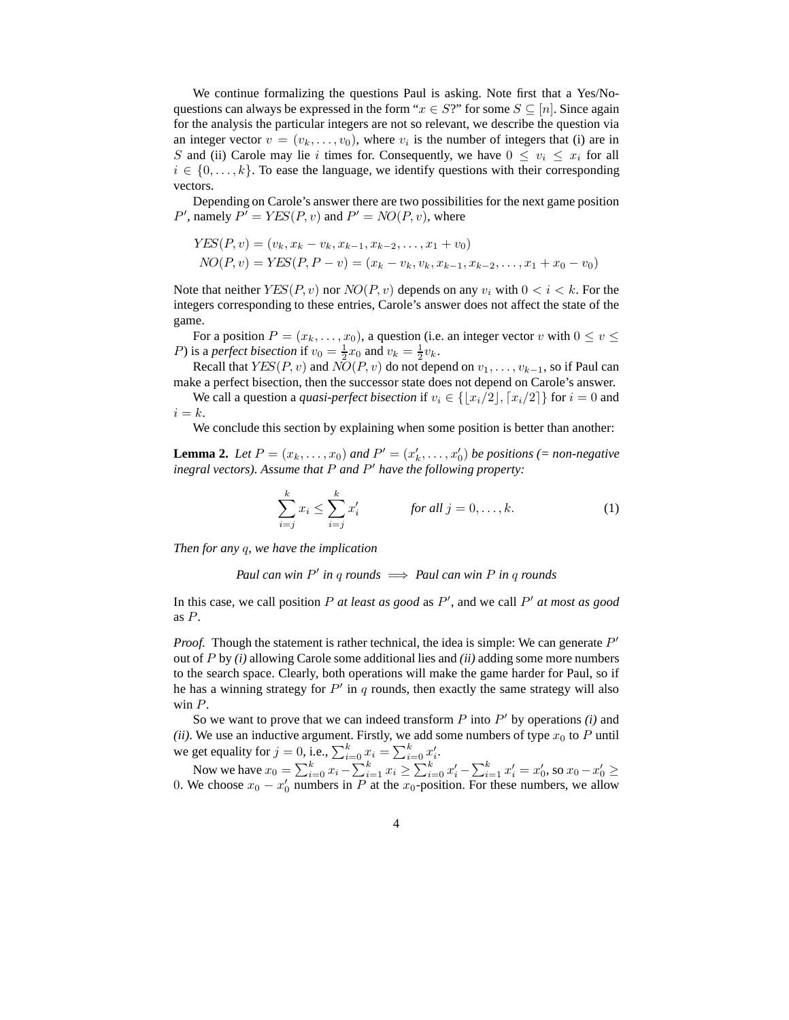We continue formalizing the questions Paul is asking. Note first that a Yes/Noquestions can always be expressed in the form " $x \in S$ ?" for some  $S \subseteq [n]$ . Since again for the analysis the particular integers are not so relevant, we describe the question via an integer vector  $v = (v_k, \dots, v_0)$ , where  $v_i$  is the number of integers that (i) are in S and (ii) Carole may lie i times for. Consequently, we have  $0 \le v_i \le x_i$  for all  $i \in \{0, \ldots, k\}$ . To ease the language, we identify questions with their corresponding vectors.

Depending on Carole's answer there are two possibilities for the next game position P', namely  $P' = \text{YES}(P, v)$  and  $P' = \text{NO}(P, v)$ , where

$$
YES(P, v) = (v_k, x_k - v_k, x_{k-1}, x_{k-2}, \dots, x_1 + v_0)
$$
  

$$
NO(P, v) = YES(P, P - v) = (x_k - v_k, v_k, x_{k-1}, x_{k-2}, \dots, x_1 + x_0 - v_0)
$$

Note that neither  $YES(P, v)$  nor  $NO(P, v)$  depends on any  $v_i$  with  $0 < i < k$ . For the integers corresponding to these entries, Carole's answer does not affect the state of the game.

For a position  $P = (x_k, \ldots, x_0)$ , a question (i.e. an integer vector v with  $0 \le v \le$ *P*) is a *perfect bisection* if  $v_0 = \frac{1}{2}x_0$  and  $v_k = \frac{1}{2}v_k$ .

Recall that  $YES(P, v)$  and  $NO(P, v)$  do not depend on  $v_1, \ldots, v_{k-1}$ , so if Paul can make a perfect bisection, then the successor state does not depend on Carole's answer.

We call a question a *quasi-perfect bisection* if  $v_i \in \{ |x_i/2|, |x_i/2| \}$  for  $i = 0$  and  $i = k$ .

We conclude this section by explaining when some position is better than another:

**Lemma 2.** Let  $P = (x_k, \ldots, x_0)$  and  $P' = (x'_k, \ldots, x'_0)$  be positions (= non-negative *inegral vectors). Assume that* P *and* P ′ *have the following property:*

$$
\sum_{i=j}^{k} x_i \le \sum_{i=j}^{k} x'_i \qquad \text{for all } j = 0, \dots, k. \tag{1}
$$

*Then for any* q*, we have the implication*

*Paul can win*  $P'$  *in*  $q$  *rounds*  $\implies$  *Paul can win*  $P$  *in*  $q$  *rounds* 

In this case, we call position  $P$  at least as good as  $P'$ , and we call  $P'$  at most as good as P.

*Proof.* Though the statement is rather technical, the idea is simple: We can generate  $P'$ out of P by *(i)* allowing Carole some additional lies and *(ii)* adding some more numbers to the search space. Clearly, both operations will make the game harder for Paul, so if he has a winning strategy for  $P'$  in  $q$  rounds, then exactly the same strategy will also win P.

So we want to prove that we can indeed transform  $P$  into  $P'$  by operations  $(i)$  and *(ii)*. We use an inductive argument. Firstly, we add some numbers of type  $x_0$  to P until we get equality for  $j = 0$ , i.e.,  $\sum_{i=0}^{k} x_i = \sum_{i=0}^{k} x'_i$ .

Now we have  $x_0 = \sum_{i=0}^k x_i - \sum_{i=1}^k x_i \ge \sum_{i=0}^k x'_i - \sum_{i=1}^k x'_i = x'_0$ , so  $x_0 - x'_0 \ge$ 0. We choose  $x_0 - x'_0$  numbers in P at the  $x_0$ -position. For these numbers, we allow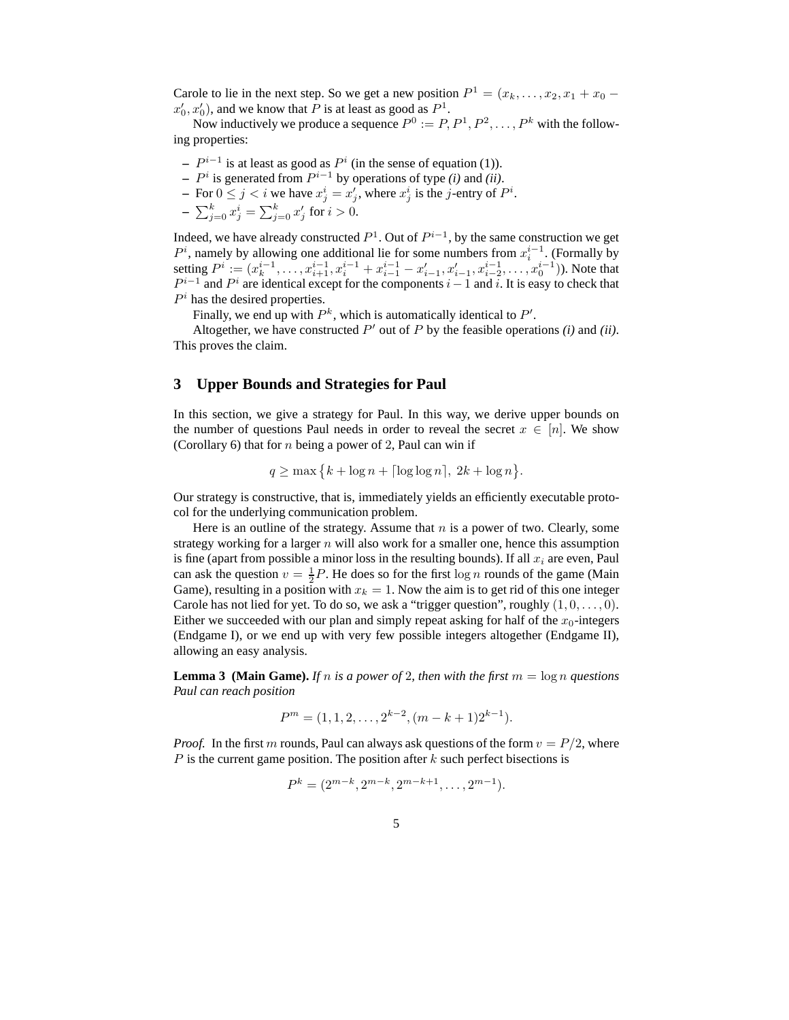Carole to lie in the next step. So we get a new position  $P^1 = (x_k, \ldots, x_2, x_1 + x_0$  $x'_0, x'_0$ ), and we know that P is at least as good as  $P^1$ .

Now inductively we produce a sequence  $P^0 := P, P^1, P^2, \dots, P^k$  with the following properties:

- $P^{i-1}$  is at least as good as  $P^i$  (in the sense of equation (1)).
- $P^i$  is generated from  $P^{i-1}$  by operations of type *(i)* and *(ii)*.
- $-$  For  $0 \le j < i$  we have  $x_j^i = x_j^i$ , where  $x_j^i$  is the j-entry of  $P^i$ .

$$
- \sum_{j=0}^{k} x_j^i = \sum_{j=0}^{k} x_j' \text{ for } i > 0.
$$

Indeed, we have already constructed  $P^1$ . Out of  $P^{i-1}$ , by the same construction we get  $P<sup>i</sup>$ , namely by allowing one additional lie for some numbers from  $x_i^{i-1}$ . (Formally by setting  $P^i := (x_k^{i-1}, \ldots, x_{i+1}^{i-1}, x_i^{i-1} + x_{i-1}^{i-1} - x'_{i-1}, x'_{i-1}, x_{i-2}^{i-1}, \ldots, x_0^{i-1})$ ). Note that  $P^{i-1}$  and  $P^i$  are identical except for the components  $i-1$  and i. It is easy to check that  $P<sup>i</sup>$  has the desired properties.

Finally, we end up with  $P^k$ , which is automatically identical to  $P'$ .

Altogether, we have constructed  $P'$  out of  $P$  by the feasible operations  $(i)$  and  $(ii)$ . This proves the claim.

### **3 Upper Bounds and Strategies for Paul**

In this section, we give a strategy for Paul. In this way, we derive upper bounds on the number of questions Paul needs in order to reveal the secret  $x \in [n]$ . We show (Corollary 6) that for  $n$  being a power of 2, Paul can win if

$$
q \ge \max\left\{k + \log n + \lceil \log \log n \rceil, 2k + \log n\right\}.
$$

Our strategy is constructive, that is, immediately yields an efficiently executable protocol for the underlying communication problem.

Here is an outline of the strategy. Assume that  $n$  is a power of two. Clearly, some strategy working for a larger  $n$  will also work for a smaller one, hence this assumption is fine (apart from possible a minor loss in the resulting bounds). If all  $x_i$  are even, Paul can ask the question  $v = \frac{1}{2}P$ . He does so for the first  $\log n$  rounds of the game (Main Game), resulting in a position with  $x_k = 1$ . Now the aim is to get rid of this one integer Carole has not lied for yet. To do so, we ask a "trigger question", roughly  $(1, 0, \ldots, 0)$ . Either we succeeded with our plan and simply repeat asking for half of the  $x_0$ -integers (Endgame I), or we end up with very few possible integers altogether (Endgame II), allowing an easy analysis.

**Lemma 3 (Main Game).** If n is a power of 2, then with the first  $m = \log n$  questions *Paul can reach position*

$$
P^m = (1, 1, 2, \dots, 2^{k-2}, (m-k+1)2^{k-1}).
$$

*Proof.* In the first m rounds, Paul can always ask questions of the form  $v = P/2$ , where  $P$  is the current game position. The position after  $k$  such perfect bisections is

$$
P^k = (2^{m-k}, 2^{m-k}, 2^{m-k+1}, \dots, 2^{m-1}).
$$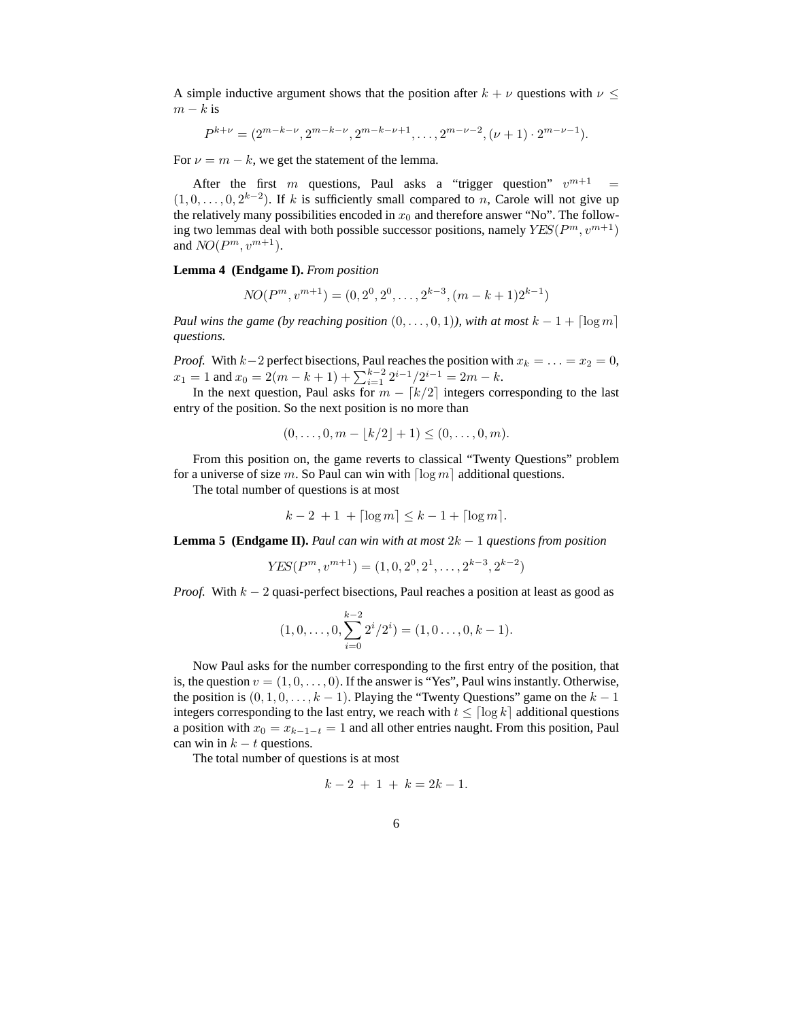A simple inductive argument shows that the position after  $k + \nu$  questions with  $\nu <$  $m - k$  is

$$
P^{k+\nu} = (2^{m-k-\nu}, 2^{m-k-\nu}, 2^{m-k-\nu+1}, \dots, 2^{m-\nu-2}, (\nu+1) \cdot 2^{m-\nu-1}).
$$

For  $\nu = m - k$ , we get the statement of the lemma.

After the first m questions, Paul asks a "trigger question"  $v^{m+1}$  =  $(1, 0, \ldots, 0, 2^{k-2})$ . If k is sufficiently small compared to n, Carole will not give up the relatively many possibilities encoded in  $x_0$  and therefore answer "No". The following two lemmas deal with both possible successor positions, namely  $YES(P^m, v^{m+1})$ and  $NO(P^m, v^{m+1})$ .

**Lemma 4 (Endgame I).** *From position*

 $NO(P^m, v^{m+1}) = (0, 2^0, 2^0, \dots, 2^{k-3}, (m-k+1)2^{k-1})$ 

*Paul wins the game (by reaching position*  $(0, \ldots, 0, 1)$ *), with at most*  $k - 1 + \lceil \log m \rceil$ *questions.*

*Proof.* With  $k-2$  perfect bisections, Paul reaches the position with  $x_k = \ldots = x_2 = 0$ ,  $x_1 = 1$  and  $x_0 = 2(m - k + 1) + \sum_{i=1}^{k-2} 2^{i-1}/2^{i-1} = 2m - k.$ 

In the next question, Paul asks for  $m - \lfloor k/2 \rfloor$  integers corresponding to the last entry of the position. So the next position is no more than

$$
(0,\ldots,0,m - \lfloor k/2 \rfloor + 1) \leq (0,\ldots,0,m).
$$

From this position on, the game reverts to classical "Twenty Questions" problem for a universe of size m. So Paul can win with  $\lceil \log m \rceil$  additional questions.

The total number of questions is at most

$$
k-2+1+\lceil \log m \rceil \leq k-1+\lceil \log m \rceil
$$
.

**Lemma 5 (Endgame II).** *Paul can win with at most*  $2k - 1$  *questions from position* 

$$
YES(P^m, v^{m+1}) = (1, 0, 2^0, 2^1, \dots, 2^{k-3}, 2^{k-2})
$$

*Proof.* With  $k - 2$  quasi-perfect bisections, Paul reaches a position at least as good as

$$
(1,0,\ldots,0,\sum_{i=0}^{k-2} 2^i/2^i) = (1,0\ldots,0,k-1).
$$

Now Paul asks for the number corresponding to the first entry of the position, that is, the question  $v = (1, 0, \ldots, 0)$ . If the answer is "Yes", Paul wins instantly. Otherwise, the position is  $(0, 1, 0, \ldots, k - 1)$ . Playing the "Twenty Questions" game on the  $k - 1$ integers corresponding to the last entry, we reach with  $t \leq \lceil \log k \rceil$  additional questions a position with  $x_0 = x_{k-1-t} = 1$  and all other entries naught. From this position, Paul can win in  $k - t$  questions.

The total number of questions is at most

$$
k - 2 + 1 + k = 2k - 1.
$$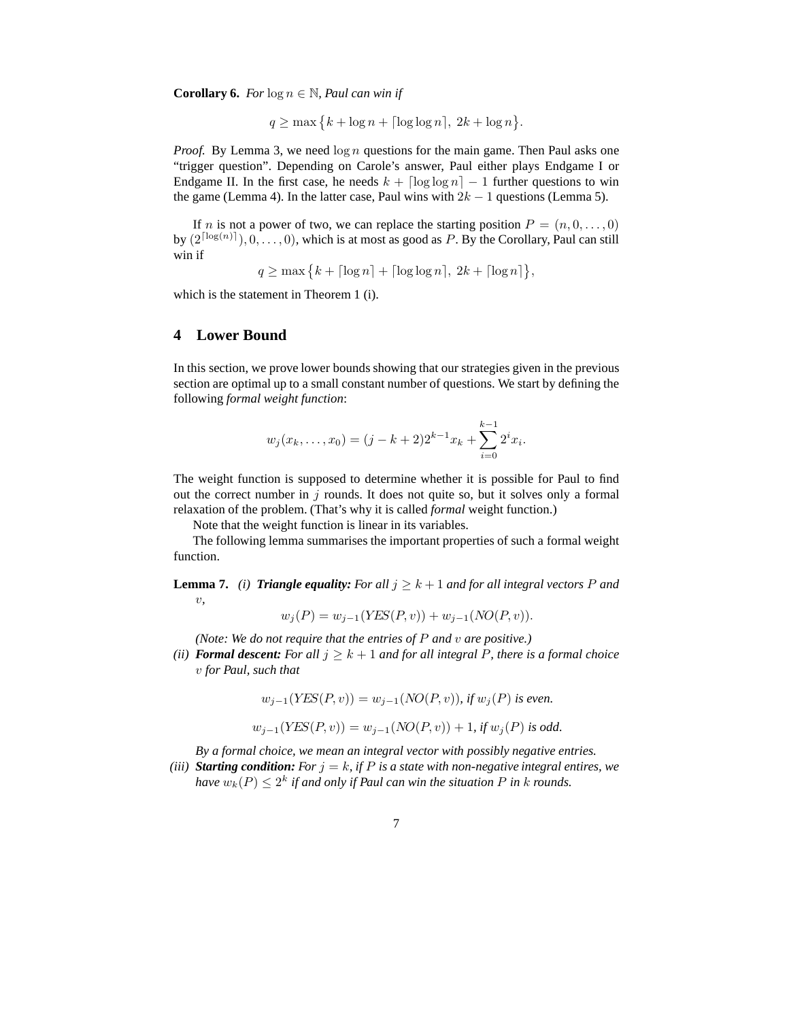**Corollary 6.** *For*  $\log n \in \mathbb{N}$ *, Paul can win if* 

$$
q \ge \max\left\{k + \log n + \lceil \log \log n \rceil, 2k + \log n\right\}.
$$

*Proof.* By Lemma 3, we need  $\log n$  questions for the main game. Then Paul asks one "trigger question". Depending on Carole's answer, Paul either plays Endgame I or Endgame II. In the first case, he needs  $k + \lceil \log \log n \rceil - 1$  further questions to win the game (Lemma 4). In the latter case, Paul wins with  $2k - 1$  questions (Lemma 5).

If *n* is not a power of two, we can replace the starting position  $P = (n, 0, \ldots, 0)$ by  $(2^{\lceil \log(n) \rceil}), 0, \ldots, 0)$ , which is at most as good as P. By the Corollary, Paul can still win if

 $q \geq \max\left\{k + \lceil \log n \rceil + \lceil \log \log n \rceil, 2k + \lceil \log n \rceil \right\},\$ 

which is the statement in Theorem 1 (i).

## **4 Lower Bound**

In this section, we prove lower bounds showing that our strategies given in the previous section are optimal up to a small constant number of questions. We start by defining the following *formal weight function*:

$$
w_j(x_k,...,x_0) = (j - k + 2)2^{k-1}x_k + \sum_{i=0}^{k-1} 2^i x_i.
$$

The weight function is supposed to determine whether it is possible for Paul to find out the correct number in  $j$  rounds. It does not quite so, but it solves only a formal relaxation of the problem. (That's why it is called *formal* weight function.)

Note that the weight function is linear in its variables.

The following lemma summarises the important properties of such a formal weight function.

**Lemma 7.** *(i) Triangle equality: For all*  $j > k + 1$  *and for all integral vectors* P *and* v*,*

 $w_i(P) = w_{i-1}(YES(P, v)) + w_{i-1}(NO(P, v)).$ 

*(Note: We do not require that the entries of* P *and* v *are positive.)*

*(ii) Formal descent:* For all  $j \geq k+1$  and for all integral P, there is a formal choice v *for Paul, such that*

$$
w_{j-1}(YES(P, v)) = w_{j-1}(NO(P, v)), \text{ if } w_j(P) \text{ is even.}
$$

$$
w_{j-1}(YES(P, v)) = w_{j-1}(NO(P, v)) + 1
$$
, if  $w_j(P)$  is odd.

*By a formal choice, we mean an integral vector with possibly negative entries.*

*(iii) Starting condition: For*  $j = k$ *, if*  $P$  *is a state with non-negative integral entires, we have*  $w_k(P) \leq 2^k$  *if and only if Paul can win the situation* P *in k rounds.*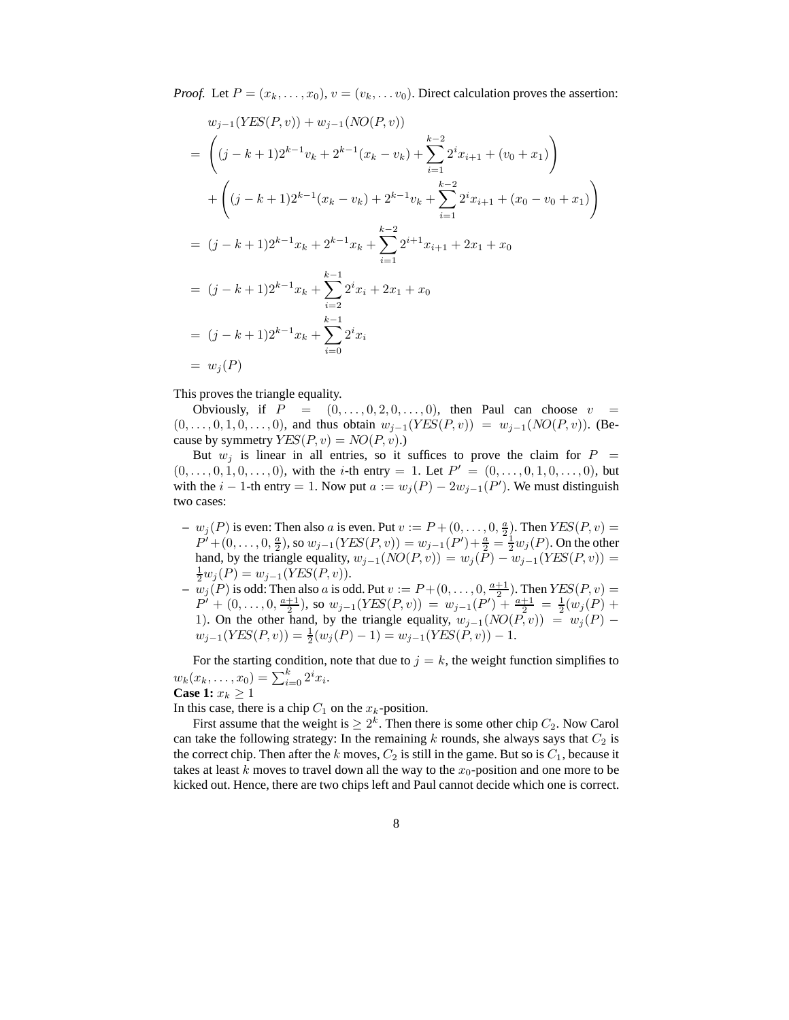*Proof.* Let  $P = (x_k, \ldots, x_0), v = (v_k, \ldots, v_0)$ . Direct calculation proves the assertion:

$$
w_{j-1}(YES(P, v)) + w_{j-1}(NO(P, v))
$$
  
= 
$$
\left((j - k + 1)2^{k-1}v_k + 2^{k-1}(x_k - v_k) + \sum_{i=1}^{k-2} 2^i x_{i+1} + (v_0 + x_1)\right)
$$
  
+ 
$$
\left((j - k + 1)2^{k-1}(x_k - v_k) + 2^{k-1}v_k + \sum_{i=1}^{k-2} 2^i x_{i+1} + (x_0 - v_0 + x_1)\right)
$$
  
= 
$$
(j - k + 1)2^{k-1}x_k + 2^{k-1}x_k + \sum_{i=1}^{k-2} 2^{i+1}x_{i+1} + 2x_1 + x_0
$$
  
= 
$$
(j - k + 1)2^{k-1}x_k + \sum_{i=2}^{k-1} 2^i x_i + 2x_1 + x_0
$$
  
= 
$$
(j - k + 1)2^{k-1}x_k + \sum_{i=0}^{k-1} 2^i x_i
$$
  
= 
$$
w_j(P)
$$

This proves the triangle equality.

Obviously, if  $P = (0, \ldots, 0, 2, 0, \ldots, 0)$ , then Paul can choose  $v =$  $(0, \ldots, 0, 1, 0, \ldots, 0)$ , and thus obtain  $w_{j-1}(YES(P, v)) = w_{j-1}(NO(P, v))$ . (Because by symmetry  $YES(P, v) = NO(P, v)$ .

But  $w_i$  is linear in all entries, so it suffices to prove the claim for  $P =$  $(0, \ldots, 0, 1, 0, \ldots, 0)$ , with the *i*-th entry = 1. Let  $P' = (0, \ldots, 0, 1, 0, \ldots, 0)$ , but with the  $i - 1$ -th entry = 1. Now put  $a := w_j(P) - 2w_{j-1}(P')$ . We must distinguish two cases:

- $w_j(P)$  is even: Then also a is even. Put  $v := P + (0, \ldots, 0, \frac{a}{2})$ . Then  $YES(P, v) =$  $P' + (0, \ldots, 0, \frac{a}{2})$ , so  $w_{j-1}(YES(P, v)) = w_{j-1}(P') + \frac{a}{2} = \frac{1}{2}w_j(P)$ . On the other hand, by the triangle equality,  $w_{j-1}(NO(P, v)) = w_j(P) - w_{j-1}(YES(P, v)) =$  $\frac{1}{2}w_j(P) = w_{j-1}(YES(P, v)).$
- $\sim w_j(P)$  is odd: Then also a is odd. Put  $v := P+(0,\ldots,0,\frac{a+1}{2})$ . Then  $YES(P,v)$  $P' + (0, \ldots, 0, \frac{a+1}{2}),$  so  $w_{j-1}(YES(P, v)) = w_{j-1}(P') + \frac{a+1}{2} = \frac{1}{2}(w_j(P) +$ 1). On the other hand, by the triangle equality,  $w_{j-1}(NO(P, v)) = w_j(P)$  –  $w_{j-1}(YES(P, v)) = \frac{1}{2}(w_j(P) - 1) = w_{j-1}(YES(P, v)) - 1.$

For the starting condition, note that due to  $j = k$ , the weight function simplifies to  $w_k(x_k,\ldots,x_0) = \sum_{i=0}^k 2^i x_i.$ **Case 1:**  $x_k \geq 1$ 

In this case, there is a chip  $C_1$  on the  $x_k$ -position.

First assume that the weight is  $\geq 2^k$ . Then there is some other chip  $C_2$ . Now Carol can take the following strategy: In the remaining  $k$  rounds, she always says that  $C_2$  is the correct chip. Then after the k moves,  $C_2$  is still in the game. But so is  $C_1$ , because it takes at least k moves to travel down all the way to the  $x_0$ -position and one more to be kicked out. Hence, there are two chips left and Paul cannot decide which one is correct.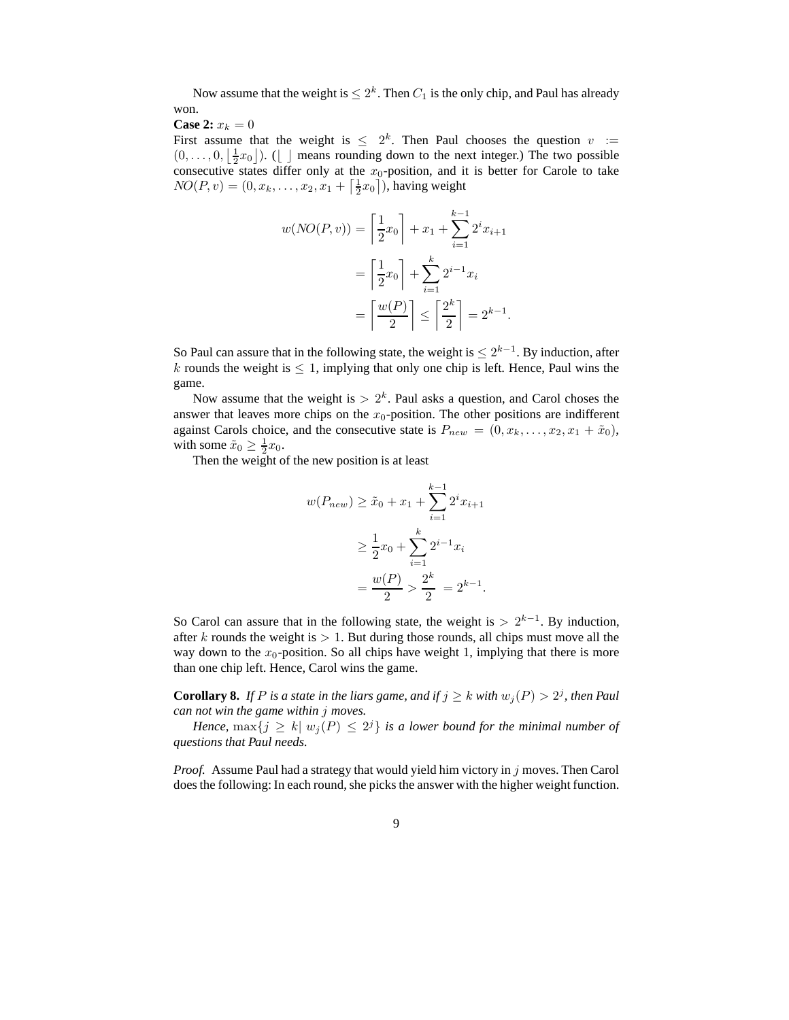Now assume that the weight is  $\leq 2^k.$  Then  $C_1$  is the only chip, and Paul has already won.

#### **Case 2:**  $x_k = 0$

First assume that the weight is  $\leq 2^k$ . Then Paul chooses the question  $v :=$  $(0, \ldots, 0, \lfloor \frac{1}{2}x_0 \rfloor)$ . ( $\lfloor \rfloor$  means rounding down to the next integer.) The two possible consecutive states differ only at the  $x_0$ -position, and it is better for Carole to take  $NO(P, v) = (0, x_k, \dots, x_2, x_1 + \lceil \frac{1}{2} x_0 \rceil)$ , having weight

$$
w(NO(P, v)) = \left\lceil \frac{1}{2}x_0 \right\rceil + x_1 + \sum_{i=1}^{k-1} 2^i x_{i+1}
$$

$$
= \left\lceil \frac{1}{2}x_0 \right\rceil + \sum_{i=1}^k 2^{i-1} x_i
$$

$$
= \left\lceil \frac{w(P)}{2} \right\rceil \le \left\lceil \frac{2^k}{2} \right\rceil = 2^{k-1}.
$$

So Paul can assure that in the following state, the weight is  $\leq 2^{k-1}$ . By induction, after k rounds the weight is  $\leq 1$ , implying that only one chip is left. Hence, Paul wins the game.

Now assume that the weight is  $> 2<sup>k</sup>$ . Paul asks a question, and Carol choses the answer that leaves more chips on the  $x_0$ -position. The other positions are indifferent against Carols choice, and the consecutive state is  $P_{new} = (0, x_k, \ldots, x_2, x_1 + \tilde{x}_0),$ with some  $\tilde{x}_0 \ge \frac{1}{2}x_0$ .

Then the weight of the new position is at least

$$
w(P_{new}) \ge \tilde{x}_0 + x_1 + \sum_{i=1}^{k-1} 2^i x_{i+1}
$$

$$
\ge \frac{1}{2} x_0 + \sum_{i=1}^k 2^{i-1} x_i
$$

$$
= \frac{w(P)}{2} > \frac{2^k}{2} = 2^{k-1}.
$$

So Carol can assure that in the following state, the weight is  $> 2^{k-1}$ . By induction, after k rounds the weight is  $> 1$ . But during those rounds, all chips must move all the way down to the  $x_0$ -position. So all chips have weight 1, implying that there is more than one chip left. Hence, Carol wins the game.

**Corollary 8.** If P is a state in the liars game, and if  $j \geq k$  with  $w_j(P) > 2^j$ , then Paul *can not win the game within* j *moves.*

*Hence,*  $\max\{j \geq k | w_j(P) \leq 2^j\}$  *is a lower bound for the minimal number of questions that Paul needs.*

*Proof.* Assume Paul had a strategy that would yield him victory in j moves. Then Carol does the following: In each round, she picks the answer with the higher weight function.